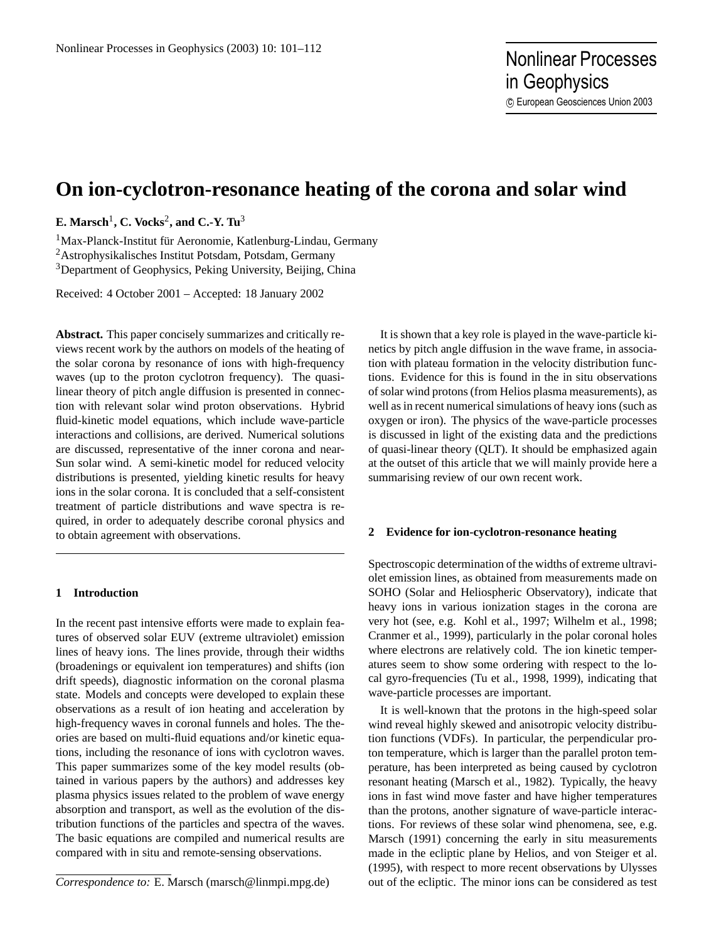# **On ion-cyclotron-resonance heating of the corona and solar wind**

**E. Marsch**<sup>1</sup> **, C. Vocks**<sup>2</sup> **, and C.-Y. Tu**<sup>3</sup>

<sup>1</sup>Max-Planck-Institut für Aeronomie, Katlenburg-Lindau, Germany <sup>2</sup>Astrophysikalisches Institut Potsdam, Potsdam, Germany <sup>3</sup>Department of Geophysics, Peking University, Beijing, China

Received: 4 October 2001 – Accepted: 18 January 2002

**Abstract.** This paper concisely summarizes and critically reviews recent work by the authors on models of the heating of the solar corona by resonance of ions with high-frequency waves (up to the proton cyclotron frequency). The quasilinear theory of pitch angle diffusion is presented in connection with relevant solar wind proton observations. Hybrid fluid-kinetic model equations, which include wave-particle interactions and collisions, are derived. Numerical solutions are discussed, representative of the inner corona and near-Sun solar wind. A semi-kinetic model for reduced velocity distributions is presented, yielding kinetic results for heavy ions in the solar corona. It is concluded that a self-consistent treatment of particle distributions and wave spectra is required, in order to adequately describe coronal physics and to obtain agreement with observations.

## **1 Introduction**

In the recent past intensive efforts were made to explain features of observed solar EUV (extreme ultraviolet) emission lines of heavy ions. The lines provide, through their widths (broadenings or equivalent ion temperatures) and shifts (ion drift speeds), diagnostic information on the coronal plasma state. Models and concepts were developed to explain these observations as a result of ion heating and acceleration by high-frequency waves in coronal funnels and holes. The theories are based on multi-fluid equations and/or kinetic equations, including the resonance of ions with cyclotron waves. This paper summarizes some of the key model results (obtained in various papers by the authors) and addresses key plasma physics issues related to the problem of wave energy absorption and transport, as well as the evolution of the distribution functions of the particles and spectra of the waves. The basic equations are compiled and numerical results are compared with in situ and remote-sensing observations.

*Correspondence to:* E. Marsch (marsch@linmpi.mpg.de)

It is shown that a key role is played in the wave-particle kinetics by pitch angle diffusion in the wave frame, in association with plateau formation in the velocity distribution functions. Evidence for this is found in the in situ observations of solar wind protons (from Helios plasma measurements), as well as in recent numerical simulations of heavy ions (such as oxygen or iron). The physics of the wave-particle processes is discussed in light of the existing data and the predictions of quasi-linear theory (QLT). It should be emphasized again at the outset of this article that we will mainly provide here a summarising review of our own recent work.

#### **2 Evidence for ion-cyclotron-resonance heating**

Spectroscopic determination of the widths of extreme ultraviolet emission lines, as obtained from measurements made on SOHO (Solar and Heliospheric Observatory), indicate that heavy ions in various ionization stages in the corona are very hot (see, e.g. Kohl et al., 1997; Wilhelm et al., 1998; Cranmer et al., 1999), particularly in the polar coronal holes where electrons are relatively cold. The ion kinetic temperatures seem to show some ordering with respect to the local gyro-frequencies (Tu et al., 1998, 1999), indicating that wave-particle processes are important.

It is well-known that the protons in the high-speed solar wind reveal highly skewed and anisotropic velocity distribution functions (VDFs). In particular, the perpendicular proton temperature, which is larger than the parallel proton temperature, has been interpreted as being caused by cyclotron resonant heating (Marsch et al., 1982). Typically, the heavy ions in fast wind move faster and have higher temperatures than the protons, another signature of wave-particle interactions. For reviews of these solar wind phenomena, see, e.g. Marsch (1991) concerning the early in situ measurements made in the ecliptic plane by Helios, and von Steiger et al. (1995), with respect to more recent observations by Ulysses out of the ecliptic. The minor ions can be considered as test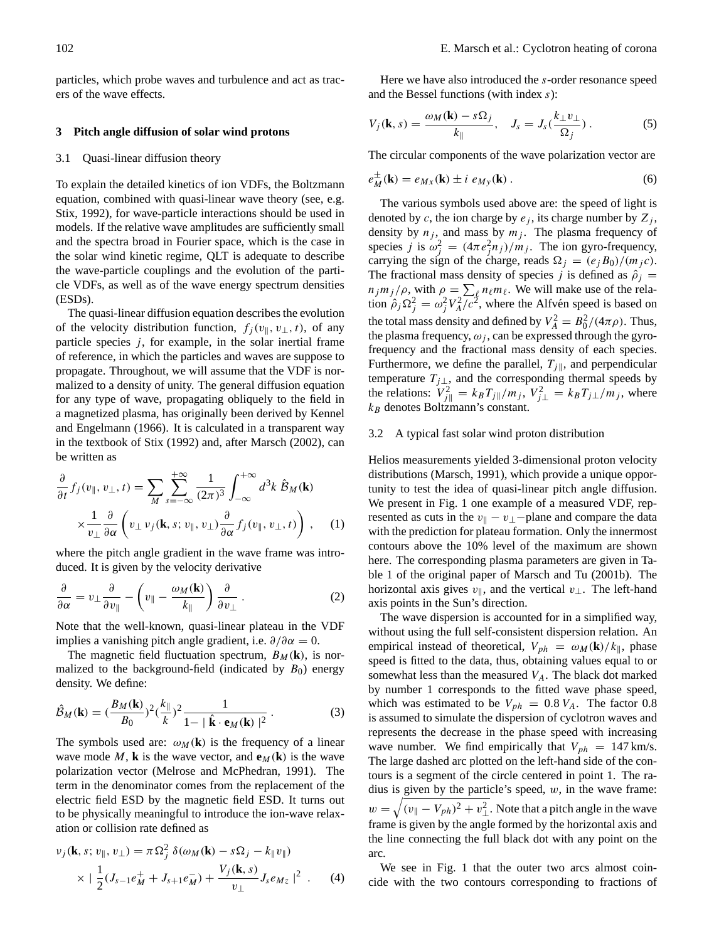particles, which probe waves and turbulence and act as tracers of the wave effects.

# **3 Pitch angle diffusion of solar wind protons**

#### 3.1 Quasi-linear diffusion theory

To explain the detailed kinetics of ion VDFs, the Boltzmann equation, combined with quasi-linear wave theory (see, e.g. Stix, 1992), for wave-particle interactions should be used in models. If the relative wave amplitudes are sufficiently small and the spectra broad in Fourier space, which is the case in the solar wind kinetic regime, QLT is adequate to describe the wave-particle couplings and the evolution of the particle VDFs, as well as of the wave energy spectrum densities (ESDs).

The quasi-linear diffusion equation describes the evolution of the velocity distribution function,  $f_i(v_{\parallel}, v_{\perp}, t)$ , of any particle species  $j$ , for example, in the solar inertial frame of reference, in which the particles and waves are suppose to propagate. Throughout, we will assume that the VDF is normalized to a density of unity. The general diffusion equation for any type of wave, propagating obliquely to the field in a magnetized plasma, has originally been derived by Kennel and Engelmann (1966). It is calculated in a transparent way in the textbook of Stix (1992) and, after Marsch (2002), can be written as

$$
\frac{\partial}{\partial t} f_j(v_{\parallel}, v_{\perp}, t) = \sum_M \sum_{s=-\infty}^{+\infty} \frac{1}{(2\pi)^3} \int_{-\infty}^{+\infty} d^3k \hat{B}_M(\mathbf{k})
$$

$$
\times \frac{1}{v_{\perp}} \frac{\partial}{\partial \alpha} \left( v_{\perp} v_j(\mathbf{k}, s; v_{\parallel}, v_{\perp}) \frac{\partial}{\partial \alpha} f_j(v_{\parallel}, v_{\perp}, t) \right), \quad (1)
$$

where the pitch angle gradient in the wave frame was introduced. It is given by the velocity derivative

$$
\frac{\partial}{\partial \alpha} = v_{\perp} \frac{\partial}{\partial v_{\parallel}} - \left( v_{\parallel} - \frac{\omega_M(\mathbf{k})}{k_{\parallel}} \right) \frac{\partial}{\partial v_{\perp}} . \tag{2}
$$

Note that the well-known, quasi-linear plateau in the VDF implies a vanishing pitch angle gradient, i.e.  $\partial/\partial \alpha = 0$ .

The magnetic field fluctuation spectrum,  $B_M(\mathbf{k})$ , is normalized to the background-field (indicated by  $B_0$ ) energy density. We define:

$$
\hat{\mathcal{B}}_M(\mathbf{k}) = (\frac{B_M(\mathbf{k})}{B_0})^2 (\frac{k_{\parallel}}{k})^2 \frac{1}{1 - |\hat{\mathbf{k}} \cdot \mathbf{e}_M(\mathbf{k})|^2}.
$$
 (3)

The symbols used are:  $\omega_M(\mathbf{k})$  is the frequency of a linear wave mode M, **k** is the wave vector, and  $\mathbf{e}_M(\mathbf{k})$  is the wave polarization vector (Melrose and McPhedran, 1991). The term in the denominator comes from the replacement of the electric field ESD by the magnetic field ESD. It turns out to be physically meaningful to introduce the ion-wave relaxation or collision rate defined as

$$
v_j(\mathbf{k}, s; v_{\parallel}, v_{\perp}) = \pi \Omega_j^2 \delta(\omega_M(\mathbf{k}) - s\Omega_j - k_{\parallel}v_{\parallel})
$$
  
 
$$
\times \left| \frac{1}{2} (J_{s-1}e_M^+ + J_{s+1}e_M^-) + \frac{V_j(\mathbf{k}, s)}{v_{\perp}} J_s e_{Mz} \right|^2. \tag{4}
$$

Here we have also introduced the s-order resonance speed and the Bessel functions (with index s):

$$
V_j(\mathbf{k}, s) = \frac{\omega_M(\mathbf{k}) - s\Omega_j}{k_{\parallel}}, \quad J_s = J_s(\frac{k_{\perp}v_{\perp}}{\Omega_j}).
$$
 (5)

The circular components of the wave polarization vector are

$$
e_M^{\pm}(\mathbf{k}) = e_{Mx}(\mathbf{k}) \pm i e_{My}(\mathbf{k}) . \tag{6}
$$

The various symbols used above are: the speed of light is denoted by c, the ion charge by  $e_j$ , its charge number by  $Z_j$ , density by  $n_j$ , and mass by  $m_j$ . The plasma frequency of species *j* is  $\omega_j^2 = (4\pi e_j^2 n_j)/m_j$ . The ion gyro-frequency, carrying the sign of the charge, reads  $\Omega_j = (e_jB_0)/(m_j c)$ . The fractional mass density of species j is defined as  $\hat{\rho}_i$  =  $n_j m_j / \rho$ , with  $\rho = \sum_{\ell} n_{\ell} m_{\ell}$ . We will make use of the relation  $\hat{\rho}_j \Omega_j^2 = \omega_j^2 V_A^2 / c^2$ , where the Alfvén speed is based on the total mass density and defined by  $V_A^2 = B_0^2/(4\pi\rho)$ . Thus, the plasma frequency,  $\omega_j$ , can be expressed through the gyrofrequency and the fractional mass density of each species. Furthermore, we define the parallel,  $T_{j\parallel}$ , and perpendicular temperature  $T_{j\perp}$ , and the corresponding thermal speeds by the relations:  $V_{j\parallel}^2 = k_B T_{j\parallel}/m_j$ ,  $V_{j\perp}^2 = k_B T_{j\perp}/m_j$ , where  $k_B$  denotes Boltzmann's constant.

#### 3.2 A typical fast solar wind proton distribution

Helios measurements yielded 3-dimensional proton velocity distributions (Marsch, 1991), which provide a unique opportunity to test the idea of quasi-linear pitch angle diffusion. We present in Fig. 1 one example of a measured VDF, represented as cuts in the  $v_{\parallel} - v_{\perp} -$ plane and compare the data with the prediction for plateau formation. Only the innermost contours above the 10% level of the maximum are shown here. The corresponding plasma parameters are given in Table 1 of the original paper of Marsch and Tu (2001b). The horizontal axis gives  $v_{\parallel}$ , and the vertical  $v_{\perp}$ . The left-hand axis points in the Sun's direction.

The wave dispersion is accounted for in a simplified way, without using the full self-consistent dispersion relation. An empirical instead of theoretical,  $V_{ph} = \omega_M(\mathbf{k})/k_{\parallel}$ , phase speed is fitted to the data, thus, obtaining values equal to or somewhat less than the measured  $V_A$ . The black dot marked by number 1 corresponds to the fitted wave phase speed, which was estimated to be  $V_{ph} = 0.8 V_A$ . The factor 0.8 is assumed to simulate the dispersion of cyclotron waves and represents the decrease in the phase speed with increasing wave number. We find empirically that  $V_{ph} = 147 \text{ km/s}$ . The large dashed arc plotted on the left-hand side of the contours is a segment of the circle centered in point 1. The radius is given by the particle's speed,  $w$ , in the wave frame:  $w = \sqrt{(v_{\parallel} - V_{ph})^2 + v_{\perp}^2}$ . Note that a pitch angle in the wave frame is given by the angle formed by the horizontal axis and the line connecting the full black dot with any point on the arc.

We see in Fig. 1 that the outer two arcs almost coincide with the two contours corresponding to fractions of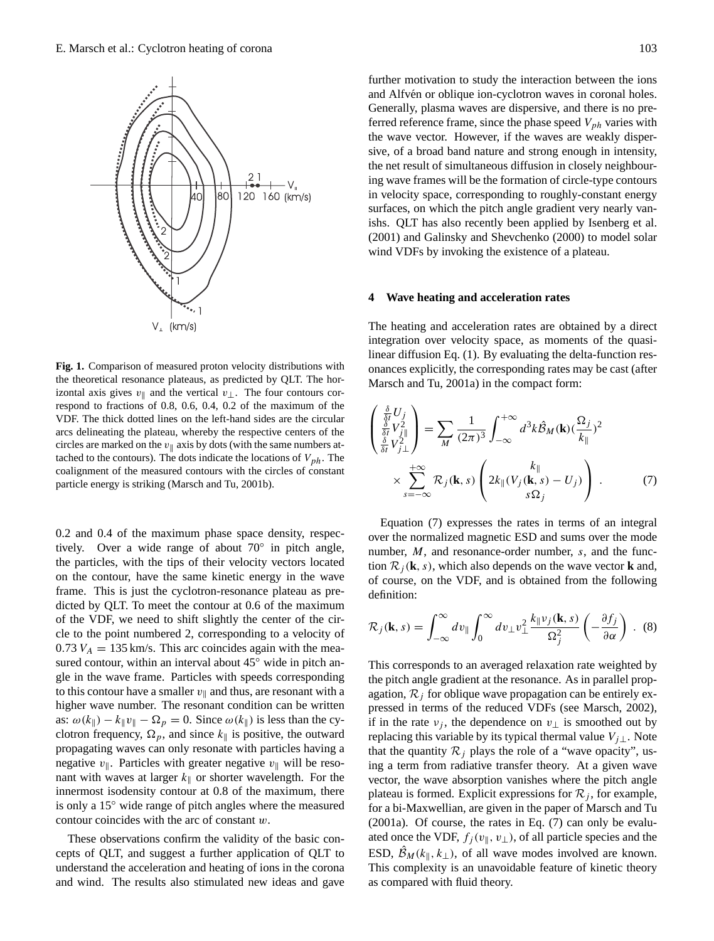

**Fig. 1.** Comparison of measured proton velocity distributions with the theoretical resonance plateaus, as predicted by QLT. The horizontal axis gives  $v_{\parallel}$  and the vertical  $v_{\perp}$ . The four contours correspond to fractions of 0.8, 0.6, 0.4, 0.2 of the maximum of the VDF. The thick dotted lines on the left-hand sides are the circular arcs delineating the plateau, whereby the respective centers of the circles are marked on the  $v_{\parallel}$  axis by dots (with the same numbers attached to the contours). The dots indicate the locations of  $V_{ph}$ . The coalignment of the measured contours with the circles of constant particle energy is striking (Marsch and Tu, 2001b).

0.2 and 0.4 of the maximum phase space density, respectively. Over a wide range of about 70◦ in pitch angle, the particles, with the tips of their velocity vectors located on the contour, have the same kinetic energy in the wave frame. This is just the cyclotron-resonance plateau as predicted by QLT. To meet the contour at 0.6 of the maximum of the VDF, we need to shift slightly the center of the circle to the point numbered 2, corresponding to a velocity of  $0.73 V_A = 135$  km/s. This arc coincides again with the measured contour, within an interval about 45<sup>°</sup> wide in pitch angle in the wave frame. Particles with speeds corresponding to this contour have a smaller  $v_{\parallel}$  and thus, are resonant with a higher wave number. The resonant condition can be written as:  $\omega(k_{\parallel}) - k_{\parallel}v_{\parallel} - \Omega_p = 0$ . Since  $\omega(k_{\parallel})$  is less than the cyclotron frequency,  $\Omega_p$ , and since  $k_{\parallel}$  is positive, the outward propagating waves can only resonate with particles having a negative  $v_{\parallel}$ . Particles with greater negative  $v_{\parallel}$  will be resonant with waves at larger  $k_{\parallel}$  or shorter wavelength. For the innermost isodensity contour at 0.8 of the maximum, there is only a 15◦ wide range of pitch angles where the measured contour coincides with the arc of constant w.

These observations confirm the validity of the basic concepts of QLT, and suggest a further application of QLT to understand the acceleration and heating of ions in the corona and wind. The results also stimulated new ideas and gave

further motivation to study the interaction between the ions and Alfvén or oblique ion-cyclotron waves in coronal holes. Generally, plasma waves are dispersive, and there is no preferred reference frame, since the phase speed  $V_{ph}$  varies with the wave vector. However, if the waves are weakly dispersive, of a broad band nature and strong enough in intensity, the net result of simultaneous diffusion in closely neighbouring wave frames will be the formation of circle-type contours in velocity space, corresponding to roughly-constant energy surfaces, on which the pitch angle gradient very nearly vanishs. QLT has also recently been applied by Isenberg et al. (2001) and Galinsky and Shevchenko (2000) to model solar wind VDFs by invoking the existence of a plateau.

#### **4 Wave heating and acceleration rates**

The heating and acceleration rates are obtained by a direct integration over velocity space, as moments of the quasilinear diffusion Eq. (1). By evaluating the delta-function resonances explicitly, the corresponding rates may be cast (after Marsch and Tu, 2001a) in the compact form:

$$
\begin{pmatrix}\n\frac{\delta}{\delta t}U_j \\
\frac{\delta}{\delta t}V_{j\parallel}^2 \\
\frac{\delta}{\delta t}V_{j\perp}^2\n\end{pmatrix} = \sum_M \frac{1}{(2\pi)^3} \int_{-\infty}^{+\infty} d^3k \hat{B}_M(\mathbf{k}) (\frac{\Omega_j}{k_{\parallel}})^2
$$
\n
$$
\times \sum_{s=-\infty}^{+\infty} \mathcal{R}_j(\mathbf{k}, s) \left( 2k_{\parallel}(V_j(\mathbf{k}, s) - U_j) \right).
$$
\n(7)

Equation (7) expresses the rates in terms of an integral over the normalized magnetic ESD and sums over the mode number, M, and resonance-order number, s, and the function  $\mathcal{R}_i(\mathbf{k}, s)$ , which also depends on the wave vector **k** and, of course, on the VDF, and is obtained from the following definition:

$$
\mathcal{R}_j(\mathbf{k}, s) = \int_{-\infty}^{\infty} dv_{\parallel} \int_0^{\infty} dv_{\perp} v_{\perp}^2 \frac{k_{\parallel} v_j(\mathbf{k}, s)}{\Omega_j^2} \left(-\frac{\partial f_j}{\partial \alpha}\right) . \tag{8}
$$

This corresponds to an averaged relaxation rate weighted by the pitch angle gradient at the resonance. As in parallel propagation,  $\mathcal{R}_i$  for oblique wave propagation can be entirely expressed in terms of the reduced VDFs (see Marsch, 2002), if in the rate  $v_i$ , the dependence on  $v_{\perp}$  is smoothed out by replacing this variable by its typical thermal value  $V_{j\perp}$ . Note that the quantity  $\mathcal{R}_i$  plays the role of a "wave opacity", using a term from radiative transfer theory. At a given wave vector, the wave absorption vanishes where the pitch angle plateau is formed. Explicit expressions for  $\mathcal{R}_i$ , for example, for a bi-Maxwellian, are given in the paper of Marsch and Tu (2001a). Of course, the rates in Eq. (7) can only be evaluated once the VDF,  $f_j(v_{\parallel}, v_{\perp})$ , of all particle species and the ESD,  $\mathcal{B}_M(k_{\parallel}, k_{\perp})$ , of all wave modes involved are known. This complexity is an unavoidable feature of kinetic theory as compared with fluid theory.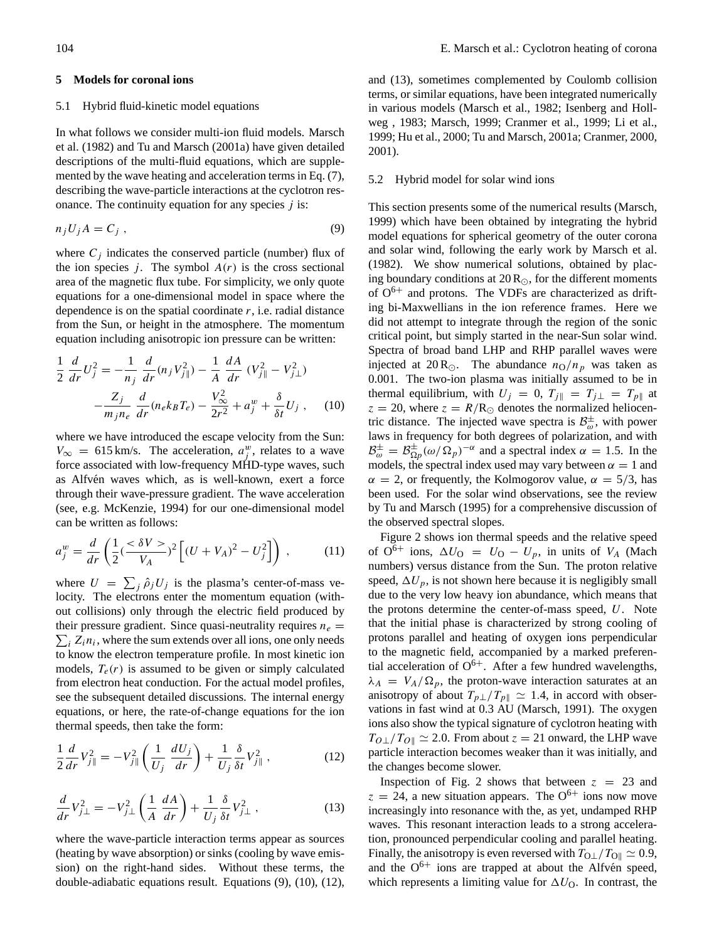# **5 Models for coronal ions**

## 5.1 Hybrid fluid-kinetic model equations

In what follows we consider multi-ion fluid models. Marsch et al. (1982) and Tu and Marsch (2001a) have given detailed descriptions of the multi-fluid equations, which are supplemented by the wave heating and acceleration terms in Eq. (7), describing the wave-particle interactions at the cyclotron resonance. The continuity equation for any species  $j$  is:

$$
n_j U_j A = C_j \t\t(9)
$$

where  $C_i$  indicates the conserved particle (number) flux of the ion species j. The symbol  $A(r)$  is the cross sectional area of the magnetic flux tube. For simplicity, we only quote equations for a one-dimensional model in space where the dependence is on the spatial coordinate  $r$ , i.e. radial distance from the Sun, or height in the atmosphere. The momentum equation including anisotropic ion pressure can be written:

$$
\frac{1}{2} \frac{d}{dr} U_j^2 = -\frac{1}{n_j} \frac{d}{dr} (n_j V_{j\parallel}^2) - \frac{1}{A} \frac{dA}{dr} (V_{j\parallel}^2 - V_{j\perp}^2) - \frac{Z_j}{m_j n_e} \frac{d}{dr} (n_e k_B T_e) - \frac{V_{\infty}^2}{2r^2} + a_y^w + \frac{\delta}{\delta t} U_j , \quad (10)
$$

where we have introduced the escape velocity from the Sun:  $V_{\infty} = 615 \text{ km/s}$ . The acceleration,  $a_j^w$ , relates to a wave force associated with low-frequency MHD-type waves, such as Alfvén waves which, as is well-known, exert a force through their wave-pressure gradient. The wave acceleration (see, e.g. McKenzie, 1994) for our one-dimensional model can be written as follows:

$$
a_j^w = \frac{d}{dr} \left( \frac{1}{2} (\frac{<\delta V>}{V_A})^2 \left[ (U + V_A)^2 - U_j^2 \right] \right) , \qquad (11)
$$

where  $U = \sum_j \hat{\rho}_j U_j$  is the plasma's center-of-mass velocity. The electrons enter the momentum equation (without collisions) only through the electric field produced by  $\sum_i Z_i n_i$ , where the sum extends over all ions, one only needs their pressure gradient. Since quasi-neutrality requires  $n_e$  = to know the electron temperature profile. In most kinetic ion models,  $T_e(r)$  is assumed to be given or simply calculated from electron heat conduction. For the actual model profiles, see the subsequent detailed discussions. The internal energy equations, or here, the rate-of-change equations for the ion thermal speeds, then take the form:

$$
\frac{1}{2}\frac{d}{dr}V_{j\parallel}^{2} = -V_{j\parallel}^{2}\left(\frac{1}{U_{j}}\frac{dU_{j}}{dr}\right) + \frac{1}{U_{j}}\frac{\delta}{\delta t}V_{j\parallel}^{2},\qquad (12)
$$

$$
\frac{d}{dr}V_{j\perp}^2 = -V_{j\perp}^2 \left(\frac{1}{A}\frac{dA}{dr}\right) + \frac{1}{U_j}\frac{\delta}{\delta t}V_{j\perp}^2\,,\tag{13}
$$

where the wave-particle interaction terms appear as sources (heating by wave absorption) or sinks (cooling by wave emission) on the right-hand sides. Without these terms, the double-adiabatic equations result. Equations (9), (10), (12), and (13), sometimes complemented by Coulomb collision terms, or similar equations, have been integrated numerically in various models (Marsch et al., 1982; Isenberg and Hollweg , 1983; Marsch, 1999; Cranmer et al., 1999; Li et al., 1999; Hu et al., 2000; Tu and Marsch, 2001a; Cranmer, 2000, 2001).

# 5.2 Hybrid model for solar wind ions

This section presents some of the numerical results (Marsch, 1999) which have been obtained by integrating the hybrid model equations for spherical geometry of the outer corona and solar wind, following the early work by Marsch et al. (1982). We show numerical solutions, obtained by placing boundary conditions at  $20\,\text{R}_\odot$ , for the different moments of  $O^{6+}$  and protons. The VDFs are characterized as drifting bi-Maxwellians in the ion reference frames. Here we did not attempt to integrate through the region of the sonic critical point, but simply started in the near-Sun solar wind. Spectra of broad band LHP and RHP parallel waves were injected at 20 R<sub>O</sub>. The abundance  $n_0/n_p$  was taken as 0.001. The two-ion plasma was initially assumed to be in thermal equilibrium, with  $U_j = 0$ ,  $T_{j\parallel} = T_{j\perp} = T_{p\parallel}$  at  $z = 20$ , where  $z = R/R_{\odot}$  denotes the normalized heliocentric distance. The injected wave spectra is  $\mathcal{B}_{\omega}^{\pm}$ , with power laws in frequency for both degrees of polarization, and with  $\mathcal{B}_{\omega}^{\pm} = \mathcal{B}_{\Omega p}^{\pm}(\omega/\Omega_p)^{-\alpha}$  and a spectral index  $\alpha = 1.5$ . In the models, the spectral index used may vary between  $\alpha = 1$  and  $\alpha = 2$ , or frequently, the Kolmogorov value,  $\alpha = 5/3$ , has been used. For the solar wind observations, see the review by Tu and Marsch (1995) for a comprehensive discussion of the observed spectral slopes.

Figure 2 shows ion thermal speeds and the relative speed of  $O^{6+}$  ions,  $\Delta U_O = U_O - U_p$ , in units of  $V_A$  (Mach numbers) versus distance from the Sun. The proton relative speed,  $\Delta U_p$ , is not shown here because it is negligibly small due to the very low heavy ion abundance, which means that the protons determine the center-of-mass speed, U. Note that the initial phase is characterized by strong cooling of protons parallel and heating of oxygen ions perpendicular to the magnetic field, accompanied by a marked preferential acceleration of  $O^{6+}$ . After a few hundred wavelengths,  $\lambda_A = V_A/\Omega_p$ , the proton-wave interaction saturates at an anisotropy of about  $T_{p\perp}/T_{p\parallel} \simeq 1.4$ , in accord with observations in fast wind at 0.3 AU (Marsch, 1991). The oxygen ions also show the typical signature of cyclotron heating with  $T_{O\perp}/T_{O\parallel} \simeq 2.0$ . From about  $z = 21$  onward, the LHP wave particle interaction becomes weaker than it was initially, and the changes become slower.

Inspection of Fig. 2 shows that between  $z = 23$  and  $z = 24$ , a new situation appears. The O<sup>6+</sup> ions now move increasingly into resonance with the, as yet, undamped RHP waves. This resonant interaction leads to a strong acceleration, pronounced perpendicular cooling and parallel heating. Finally, the anisotropy is even reversed with  $T_{\text{O}\perp}/T_{\text{O}\parallel} \simeq 0.9$ , and the  $O^{6+}$  ions are trapped at about the Alfven speed, which represents a limiting value for  $\Delta U_{\text{O}}$ . In contrast, the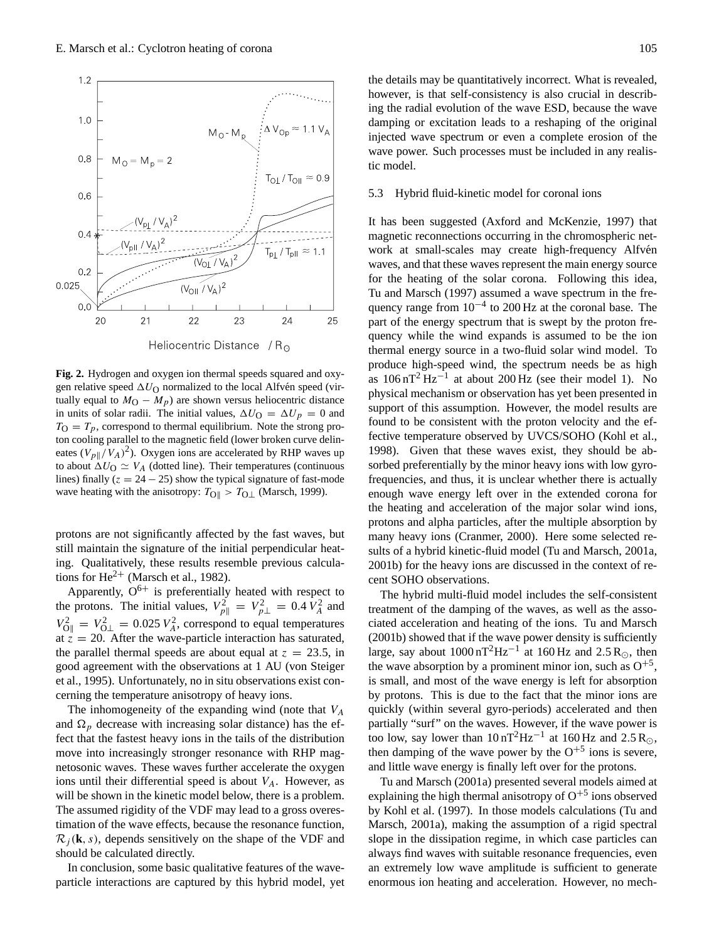

**Fig. 2.** Hydrogen and oxygen ion thermal speeds squared and oxygen relative speed  $\Delta U_{\rm O}$  normalized to the local Alfvén speed (virtually equal to  $M_{\rm O} - M_p$ ) are shown versus heliocentric distance in units of solar radii. The initial values,  $\Delta U_{\rm O} = \Delta U_p = 0$  and  $T_{\Omega} = T_p$ , correspond to thermal equilibrium. Note the strong proton cooling parallel to the magnetic field (lower broken curve delineates  $(V_{p\parallel}/V_A)^2$ ). Oxygen ions are accelerated by RHP waves up to about  $\Delta U_{\rm O} \simeq V_A$  (dotted line). Their temperatures (continuous lines) finally ( $z = 24 - 25$ ) show the typical signature of fast-mode wave heating with the anisotropy:  $T_{\text{OII}} > T_{\text{O}\perp}$  (Marsch, 1999).

protons are not significantly affected by the fast waves, but still maintain the signature of the initial perpendicular heating. Qualitatively, these results resemble previous calculations for  $He^{2+}$  (Marsch et al., 1982).

Apparently,  $O^{6+}$  is preferentially heated with respect to the protons. The initial values,  $V_{p\parallel}^2 = V_{p\perp}^2 = 0.4 V_A^2$  and  $V_{\text{O}\parallel}^2 = V_{\text{O}\perp}^2 = 0.025 V_A^2$ , correspond to equal temperatures at  $z = 20$ . After the wave-particle interaction has saturated, the parallel thermal speeds are about equal at  $z = 23.5$ , in good agreement with the observations at 1 AU (von Steiger et al., 1995). Unfortunately, no in situ observations exist concerning the temperature anisotropy of heavy ions.

The inhomogeneity of the expanding wind (note that  $V_A$ and  $\Omega_p$  decrease with increasing solar distance) has the effect that the fastest heavy ions in the tails of the distribution move into increasingly stronger resonance with RHP magnetosonic waves. These waves further accelerate the oxygen ions until their differential speed is about  $V_A$ . However, as will be shown in the kinetic model below, there is a problem. The assumed rigidity of the VDF may lead to a gross overestimation of the wave effects, because the resonance function,  $\mathcal{R}_i(\mathbf{k}, s)$ , depends sensitively on the shape of the VDF and should be calculated directly.

In conclusion, some basic qualitative features of the waveparticle interactions are captured by this hybrid model, yet the details may be quantitatively incorrect. What is revealed, however, is that self-consistency is also crucial in describing the radial evolution of the wave ESD, because the wave damping or excitation leads to a reshaping of the original injected wave spectrum or even a complete erosion of the wave power. Such processes must be included in any realistic model.

#### 5.3 Hybrid fluid-kinetic model for coronal ions

It has been suggested (Axford and McKenzie, 1997) that magnetic reconnections occurring in the chromospheric network at small-scales may create high-frequency Alfvén waves, and that these waves represent the main energy source for the heating of the solar corona. Following this idea, Tu and Marsch (1997) assumed a wave spectrum in the frequency range from  $10^{-4}$  to 200 Hz at the coronal base. The part of the energy spectrum that is swept by the proton frequency while the wind expands is assumed to be the ion thermal energy source in a two-fluid solar wind model. To produce high-speed wind, the spectrum needs be as high as  $106 \text{ nT}^2 \text{ Hz}^{-1}$  at about 200 Hz (see their model 1). No physical mechanism or observation has yet been presented in support of this assumption. However, the model results are found to be consistent with the proton velocity and the effective temperature observed by UVCS/SOHO (Kohl et al., 1998). Given that these waves exist, they should be absorbed preferentially by the minor heavy ions with low gyrofrequencies, and thus, it is unclear whether there is actually enough wave energy left over in the extended corona for the heating and acceleration of the major solar wind ions, protons and alpha particles, after the multiple absorption by many heavy ions (Cranmer, 2000). Here some selected results of a hybrid kinetic-fluid model (Tu and Marsch, 2001a, 2001b) for the heavy ions are discussed in the context of recent SOHO observations.

The hybrid multi-fluid model includes the self-consistent treatment of the damping of the waves, as well as the associated acceleration and heating of the ions. Tu and Marsch (2001b) showed that if the wave power density is sufficiently large, say about  $1000 \text{ nT}^2 \text{Hz}^{-1}$  at  $160 \text{Hz}$  and  $2.5 \text{R}_{\odot}$ , then the wave absorption by a prominent minor ion, such as  $O^{+5}$ , is small, and most of the wave energy is left for absorption by protons. This is due to the fact that the minor ions are quickly (within several gyro-periods) accelerated and then partially "surf" on the waves. However, if the wave power is too low, say lower than  $10 \text{ nT}^2 \text{Hz}^{-1}$  at  $160 \text{Hz}$  and  $2.5 \text{R}_{\odot}$ , then damping of the wave power by the  $O^{+5}$  ions is severe, and little wave energy is finally left over for the protons.

Tu and Marsch (2001a) presented several models aimed at explaining the high thermal anisotropy of  $O^{+5}$  ions observed by Kohl et al. (1997). In those models calculations (Tu and Marsch, 2001a), making the assumption of a rigid spectral slope in the dissipation regime, in which case particles can always find waves with suitable resonance frequencies, even an extremely low wave amplitude is sufficient to generate enormous ion heating and acceleration. However, no mech-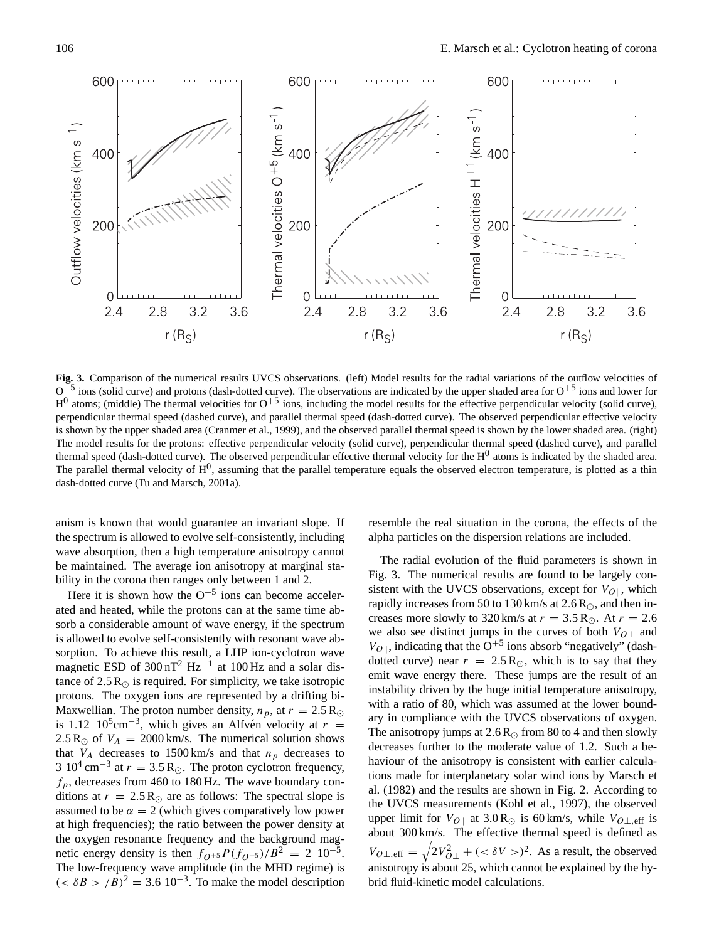

**Fig. 3.** Comparison of the numerical results UVCS observations. (left) Model results for the radial variations of the outflow velocities of  $O^{\frac{1}{2}}$  ions (solid curve) and protons (dash-dotted curve). The observations are indicated by the upper shaded area for  $O^{+5}$  ions and lower for  $H^0$  atoms; (middle) The thermal velocities for  $O^{+5}$  ions, including the model results for the effective perpendicular velocity (solid curve), perpendicular thermal speed (dashed curve), and parallel thermal speed (dash-dotted curve). The observed perpendicular effective velocity is shown by the upper shaded area (Cranmer et al., 1999), and the observed parallel thermal speed is shown by the lower shaded area. (right) The model results for the protons: effective perpendicular velocity (solid curve), perpendicular thermal speed (dashed curve), and parallel thermal speed (dash-dotted curve). The observed perpendicular effective thermal velocity for the H<sup>0</sup> atoms is indicated by the shaded area. The parallel thermal velocity of  $H^0$ , assuming that the parallel temperature equals the observed electron temperature, is plotted as a thin dash-dotted curve (Tu and Marsch, 2001a).

anism is known that would guarantee an invariant slope. If the spectrum is allowed to evolve self-consistently, including wave absorption, then a high temperature anisotropy cannot be maintained. The average ion anisotropy at marginal stability in the corona then ranges only between 1 and 2.

Here it is shown how the  $O^{+5}$  ions can become accelerated and heated, while the protons can at the same time absorb a considerable amount of wave energy, if the spectrum is allowed to evolve self-consistently with resonant wave absorption. To achieve this result, a LHP ion-cyclotron wave magnetic ESD of  $300 \text{ nT}^2$  Hz<sup>-1</sup> at  $100 \text{ Hz}$  and a solar distance of  $2.5 R_{\odot}$  is required. For simplicity, we take isotropic protons. The oxygen ions are represented by a drifting bi-Maxwellian. The proton number density,  $n_p$ , at  $r = 2.5 R_{\odot}$ is 1.12  $10^5$ cm<sup>-3</sup>, which gives an Alfvén velocity at  $r =$ 2.5 R<sub> $\odot$ </sub> of  $V_A = 2000$  km/s. The numerical solution shows that  $V_A$  decreases to 1500 km/s and that  $n_p$  decreases to 3 10<sup>4</sup> cm<sup>-3</sup> at  $r = 3.5$  R<sub>☉</sub>. The proton cyclotron frequency,  $f_p$ , decreases from 460 to 180 Hz. The wave boundary conditions at  $r = 2.5 R_{\odot}$  are as follows: The spectral slope is assumed to be  $\alpha = 2$  (which gives comparatively low power at high frequencies); the ratio between the power density at the oxygen resonance frequency and the background magnetic energy density is then  $f_{Q^{+5}}P(f_{Q^{+5}})/B^2 = 2 \cdot 10^{-5}$ . The low-frequency wave amplitude (in the MHD regime) is  $( $\delta B > B^{2} = 3.6 \cdot 10^{-3}$ . To make the model description$ 

resemble the real situation in the corona, the effects of the alpha particles on the dispersion relations are included.

The radial evolution of the fluid parameters is shown in Fig. 3. The numerical results are found to be largely consistent with the UVCS observations, except for  $V_{O\parallel}$ , which rapidly increases from 50 to 130 km/s at  $2.6 R_{\odot}$ , and then increases more slowly to 320 km/s at  $r = 3.5$  R<sub>O</sub>. At  $r = 2.6$ we also see distinct jumps in the curves of both  $V_{O\perp}$  and  $V_{O\parallel}$ , indicating that the O<sup>+5</sup> ions absorb "negatively" (dashdotted curve) near  $r = 2.5 R_{\odot}$ , which is to say that they emit wave energy there. These jumps are the result of an instability driven by the huge initial temperature anisotropy, with a ratio of 80, which was assumed at the lower boundary in compliance with the UVCS observations of oxygen. The anisotropy jumps at  $2.6 R_{\odot}$  from 80 to 4 and then slowly decreases further to the moderate value of 1.2. Such a behaviour of the anisotropy is consistent with earlier calculations made for interplanetary solar wind ions by Marsch et al. (1982) and the results are shown in Fig. 2. According to the UVCS measurements (Kohl et al., 1997), the observed upper limit for  $V_{O||}$  at 3.0 R<sub>☉</sub> is 60 km/s, while  $V_{O\perp, \text{eff}}$  is about 300 km/s. The effective thermal speed is defined as  $V_{O\perp,\text{eff}} = \sqrt{2V_{O\perp}^2 + (\langle \delta V \rangle)^2}$ . As a result, the observed anisotropy is about 25, which cannot be explained by the hybrid fluid-kinetic model calculations.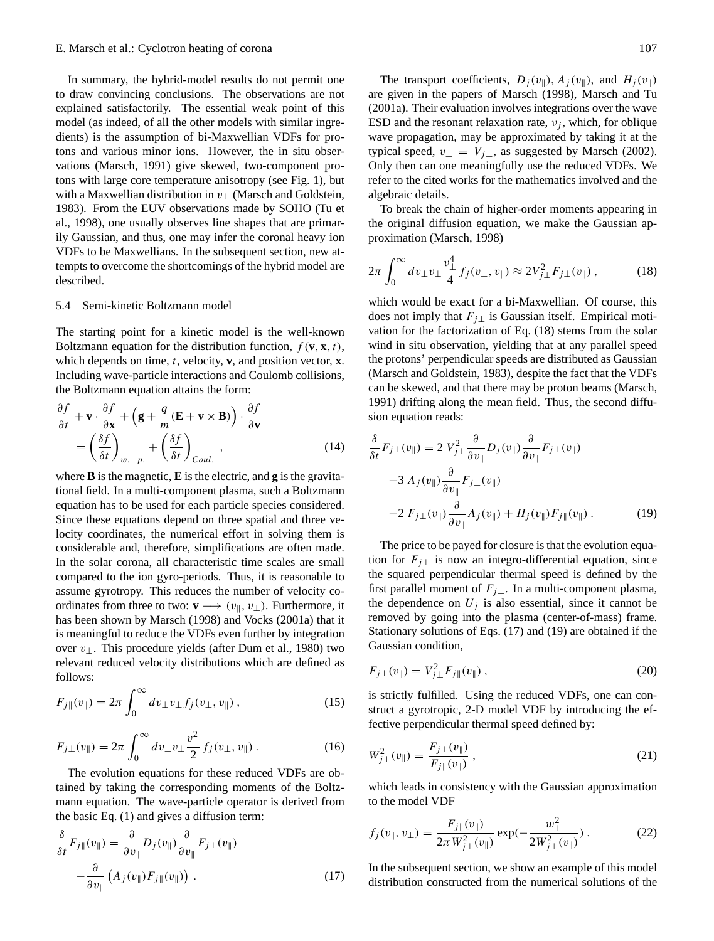In summary, the hybrid-model results do not permit one to draw convincing conclusions. The observations are not explained satisfactorily. The essential weak point of this model (as indeed, of all the other models with similar ingredients) is the assumption of bi-Maxwellian VDFs for protons and various minor ions. However, the in situ observations (Marsch, 1991) give skewed, two-component protons with large core temperature anisotropy (see Fig. 1), but with a Maxwellian distribution in  $v_{\perp}$  (Marsch and Goldstein, 1983). From the EUV observations made by SOHO (Tu et al., 1998), one usually observes line shapes that are primarily Gaussian, and thus, one may infer the coronal heavy ion VDFs to be Maxwellians. In the subsequent section, new attempts to overcome the shortcomings of the hybrid model are described.

## 5.4 Semi-kinetic Boltzmann model

The starting point for a kinetic model is the well-known Boltzmann equation for the distribution function,  $f(\mathbf{v}, \mathbf{x}, t)$ , which depends on time, t, velocity, **v**, and position vector, **x**. Including wave-particle interactions and Coulomb collisions, the Boltzmann equation attains the form:

$$
\frac{\partial f}{\partial t} + \mathbf{v} \cdot \frac{\partial f}{\partial \mathbf{x}} + \left( \mathbf{g} + \frac{q}{m} (\mathbf{E} + \mathbf{v} \times \mathbf{B}) \right) \cdot \frac{\partial f}{\partial \mathbf{v}} \n= \left( \frac{\delta f}{\delta t} \right)_{w.-p.} + \left( \frac{\delta f}{\delta t} \right)_{Coul.},
$$
\n(14)

where **B** is the magnetic, **E** is the electric, and **g** is the gravitational field. In a multi-component plasma, such a Boltzmann equation has to be used for each particle species considered. Since these equations depend on three spatial and three velocity coordinates, the numerical effort in solving them is considerable and, therefore, simplifications are often made. In the solar corona, all characteristic time scales are small compared to the ion gyro-periods. Thus, it is reasonable to assume gyrotropy. This reduces the number of velocity coordinates from three to two:  $\mathbf{v} \longrightarrow (v_{\parallel}, v_{\perp})$ . Furthermore, it has been shown by Marsch (1998) and Vocks (2001a) that it is meaningful to reduce the VDFs even further by integration over  $v_{\perp}$ . This procedure yields (after Dum et al., 1980) two relevant reduced velocity distributions which are defined as follows:

$$
F_{j\parallel}(v_{\parallel}) = 2\pi \int_0^{\infty} dv_{\perp} v_{\perp} f_j(v_{\perp}, v_{\parallel}), \qquad (15)
$$

$$
F_{j\perp}(v_{\parallel}) = 2\pi \int_0^{\infty} dv_{\perp} v_{\perp} \frac{v_{\perp}^2}{2} f_j(v_{\perp}, v_{\parallel}). \tag{16}
$$

The evolution equations for these reduced VDFs are obtained by taking the corresponding moments of the Boltzmann equation. The wave-particle operator is derived from the basic Eq. (1) and gives a diffusion term:

$$
\frac{\delta}{\delta t} F_{j\parallel}(v_{\parallel}) = \frac{\partial}{\partial v_{\parallel}} D_j(v_{\parallel}) \frac{\partial}{\partial v_{\parallel}} F_{j\perp}(v_{\parallel}) \n- \frac{\partial}{\partial v_{\parallel}} (A_j(v_{\parallel}) F_{j\parallel}(v_{\parallel})) .
$$
\n(17)

The transport coefficients,  $D_i(v_{\parallel})$ ,  $A_i(v_{\parallel})$ , and  $H_i(v_{\parallel})$ are given in the papers of Marsch (1998), Marsch and Tu (2001a). Their evaluation involves integrations over the wave ESD and the resonant relaxation rate,  $v_i$ , which, for oblique wave propagation, may be approximated by taking it at the typical speed,  $v_{\perp} = V_{j\perp}$ , as suggested by Marsch (2002). Only then can one meaningfully use the reduced VDFs. We refer to the cited works for the mathematics involved and the algebraic details.

To break the chain of higher-order moments appearing in the original diffusion equation, we make the Gaussian approximation (Marsch, 1998)

$$
2\pi \int_0^\infty dv_\perp v_\perp \frac{v_\perp^4}{4} f_j(v_\perp, v_\parallel) \approx 2V_{j\perp}^2 F_{j\perp}(v_\parallel) ,\qquad (18)
$$

which would be exact for a bi-Maxwellian. Of course, this does not imply that  $F_{i\perp}$  is Gaussian itself. Empirical motivation for the factorization of Eq. (18) stems from the solar wind in situ observation, yielding that at any parallel speed the protons' perpendicular speeds are distributed as Gaussian (Marsch and Goldstein, 1983), despite the fact that the VDFs can be skewed, and that there may be proton beams (Marsch, 1991) drifting along the mean field. Thus, the second diffusion equation reads:

$$
\frac{\delta}{\delta t} F_{j\perp}(v_{\parallel}) = 2 V_{j\perp}^2 \frac{\partial}{\partial v_{\parallel}} D_j(v_{\parallel}) \frac{\partial}{\partial v_{\parallel}} F_{j\perp}(v_{\parallel})
$$
  

$$
-3 A_j(v_{\parallel}) \frac{\partial}{\partial v_{\parallel}} F_{j\perp}(v_{\parallel})
$$
  

$$
-2 F_{j\perp}(v_{\parallel}) \frac{\partial}{\partial v_{\parallel}} A_j(v_{\parallel}) + H_j(v_{\parallel}) F_{j\parallel}(v_{\parallel}).
$$
 (19)

The price to be payed for closure is that the evolution equation for  $F_{i\perp}$  is now an integro-differential equation, since the squared perpendicular thermal speed is defined by the first parallel moment of  $F_{j\perp}$ . In a multi-component plasma, the dependence on  $U_i$  is also essential, since it cannot be removed by going into the plasma (center-of-mass) frame. Stationary solutions of Eqs. (17) and (19) are obtained if the Gaussian condition,

$$
F_{j\perp}(v_{\parallel}) = V_{j\perp}^2 F_{j\parallel}(v_{\parallel}), \qquad (20)
$$

is strictly fulfilled. Using the reduced VDFs, one can construct a gyrotropic, 2-D model VDF by introducing the effective perpendicular thermal speed defined by:

$$
W_{j\perp}^2(v_{\parallel}) = \frac{F_{j\perp}(v_{\parallel})}{F_{j\parallel}(v_{\parallel})},
$$
\n(21)

which leads in consistency with the Gaussian approximation to the model VDF

$$
f_j(v_{\parallel}, v_{\perp}) = \frac{F_{j\parallel}(v_{\parallel})}{2\pi W_{j\perp}^2(v_{\parallel})} \exp(-\frac{w_{\perp}^2}{2W_{j\perp}^2(v_{\parallel})}).
$$
 (22)

In the subsequent section, we show an example of this model distribution constructed from the numerical solutions of the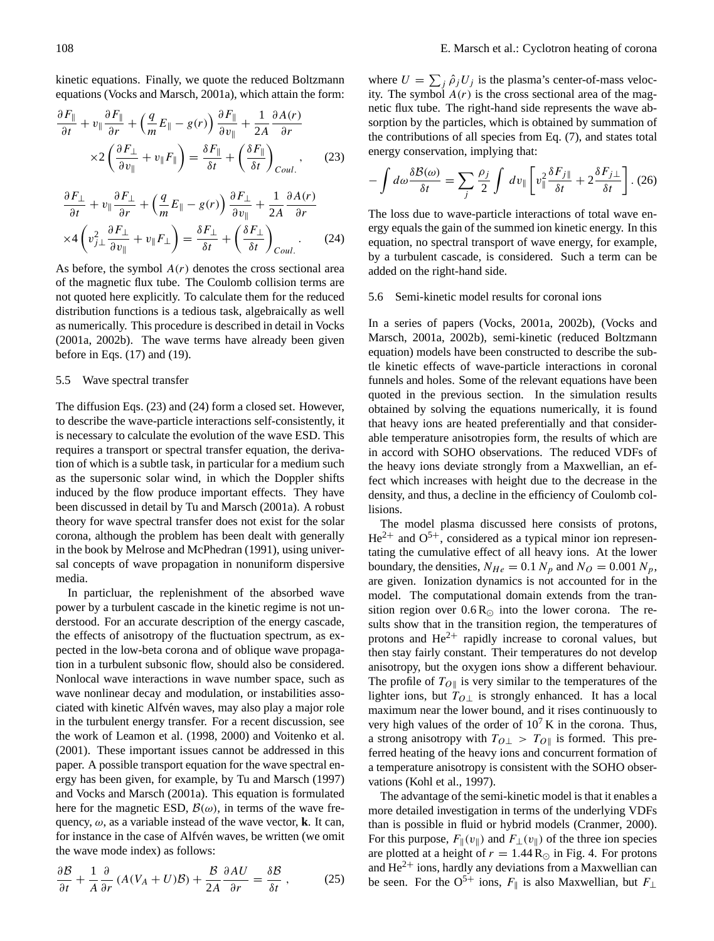kinetic equations. Finally, we quote the reduced Boltzmann equations (Vocks and Marsch, 2001a), which attain the form:

$$
\frac{\partial F_{\parallel}}{\partial t} + v_{\parallel} \frac{\partial F_{\parallel}}{\partial r} + \left(\frac{q}{m} E_{\parallel} - g(r)\right) \frac{\partial F_{\parallel}}{\partial v_{\parallel}} + \frac{1}{2A} \frac{\partial A(r)}{\partial r} \times 2 \left(\frac{\partial F_{\perp}}{\partial v_{\parallel}} + v_{\parallel} F_{\parallel}\right) = \frac{\delta F_{\parallel}}{\delta t} + \left(\frac{\delta F_{\parallel}}{\delta t}\right)_{Coul} ,
$$
\n(23)

$$
\frac{\partial F_{\perp}}{\partial t} + v_{\parallel} \frac{\partial F_{\perp}}{\partial r} + \left(\frac{q}{m} E_{\parallel} - g(r)\right) \frac{\partial F_{\perp}}{\partial v_{\parallel}} + \frac{1}{2A} \frac{\partial A(r)}{\partial r} \times 4 \left(v_{j\perp}^2 \frac{\partial F_{\perp}}{\partial v_{\parallel}} + v_{\parallel} F_{\perp}\right) = \frac{\delta F_{\perp}}{\delta t} + \left(\frac{\delta F_{\perp}}{\delta t}\right)_{Coul}.
$$
 (24)

As before, the symbol  $A(r)$  denotes the cross sectional area of the magnetic flux tube. The Coulomb collision terms are not quoted here explicitly. To calculate them for the reduced distribution functions is a tedious task, algebraically as well as numerically. This procedure is described in detail in Vocks (2001a, 2002b). The wave terms have already been given before in Eqs. (17) and (19).

### 5.5 Wave spectral transfer

The diffusion Eqs. (23) and (24) form a closed set. However, to describe the wave-particle interactions self-consistently, it is necessary to calculate the evolution of the wave ESD. This requires a transport or spectral transfer equation, the derivation of which is a subtle task, in particular for a medium such as the supersonic solar wind, in which the Doppler shifts induced by the flow produce important effects. They have been discussed in detail by Tu and Marsch (2001a). A robust theory for wave spectral transfer does not exist for the solar corona, although the problem has been dealt with generally in the book by Melrose and McPhedran (1991), using universal concepts of wave propagation in nonuniform dispersive media.

In particluar, the replenishment of the absorbed wave power by a turbulent cascade in the kinetic regime is not understood. For an accurate description of the energy cascade, the effects of anisotropy of the fluctuation spectrum, as expected in the low-beta corona and of oblique wave propagation in a turbulent subsonic flow, should also be considered. Nonlocal wave interactions in wave number space, such as wave nonlinear decay and modulation, or instabilities associated with kinetic Alfvén waves, may also play a major role in the turbulent energy transfer. For a recent discussion, see the work of Leamon et al. (1998, 2000) and Voitenko et al. (2001). These important issues cannot be addressed in this paper. A possible transport equation for the wave spectral energy has been given, for example, by Tu and Marsch (1997) and Vocks and Marsch (2001a). This equation is formulated here for the magnetic ESD,  $\mathcal{B}(\omega)$ , in terms of the wave frequency,  $\omega$ , as a variable instead of the wave vector, **k**. It can, for instance in the case of Alfvén waves, be written (we omit the wave mode index) as follows:

$$
\frac{\partial \mathcal{B}}{\partial t} + \frac{1}{A} \frac{\partial}{\partial r} \left( A(V_A + U)\mathcal{B} \right) + \frac{\mathcal{B}}{2A} \frac{\partial A U}{\partial r} = \frac{\delta \mathcal{B}}{\delta t},\tag{25}
$$

where  $U = \sum_j \hat{\rho}_j U_j$  is the plasma's center-of-mass velocity. The symbol  $A(r)$  is the cross sectional area of the magnetic flux tube. The right-hand side represents the wave absorption by the particles, which is obtained by summation of the contributions of all species from Eq. (7), and states total energy conservation, implying that:

$$
-\int d\omega \frac{\delta \mathcal{B}(\omega)}{\delta t} = \sum_{j} \frac{\rho_j}{2} \int dv_{\parallel} \left[ v_{\parallel}^2 \frac{\delta F_{j\parallel}}{\delta t} + 2 \frac{\delta F_{j\perp}}{\delta t} \right]. (26)
$$

The loss due to wave-particle interactions of total wave energy equals the gain of the summed ion kinetic energy. In this equation, no spectral transport of wave energy, for example, by a turbulent cascade, is considered. Such a term can be added on the right-hand side.

## 5.6 Semi-kinetic model results for coronal ions

In a series of papers (Vocks, 2001a, 2002b), (Vocks and Marsch, 2001a, 2002b), semi-kinetic (reduced Boltzmann equation) models have been constructed to describe the subtle kinetic effects of wave-particle interactions in coronal funnels and holes. Some of the relevant equations have been quoted in the previous section. In the simulation results obtained by solving the equations numerically, it is found that heavy ions are heated preferentially and that considerable temperature anisotropies form, the results of which are in accord with SOHO observations. The reduced VDFs of the heavy ions deviate strongly from a Maxwellian, an effect which increases with height due to the decrease in the density, and thus, a decline in the efficiency of Coulomb collisions.

The model plasma discussed here consists of protons,  $He^{2+}$  and  $O^{5+}$ , considered as a typical minor ion representating the cumulative effect of all heavy ions. At the lower boundary, the densities,  $N_{He} = 0.1 N_p$  and  $N_Q = 0.001 N_p$ , are given. Ionization dynamics is not accounted for in the model. The computational domain extends from the transition region over  $0.6 R_{\odot}$  into the lower corona. The results show that in the transition region, the temperatures of protons and  $He^{2+}$  rapidly increase to coronal values, but then stay fairly constant. Their temperatures do not develop anisotropy, but the oxygen ions show a different behaviour. The profile of  $T_{O\parallel}$  is very similar to the temperatures of the lighter ions, but  $T_{O\perp}$  is strongly enhanced. It has a local maximum near the lower bound, and it rises continuously to very high values of the order of  $10^7$  K in the corona. Thus, a strong anisotropy with  $T_{O\perp} > T_{O\parallel}$  is formed. This preferred heating of the heavy ions and concurrent formation of a temperature anisotropy is consistent with the SOHO observations (Kohl et al., 1997).

The advantage of the semi-kinetic model is that it enables a more detailed investigation in terms of the underlying VDFs than is possible in fluid or hybrid models (Cranmer, 2000). For this purpose,  $F_{\parallel}(v_{\parallel})$  and  $F_{\perp}(v_{\parallel})$  of the three ion species are plotted at a height of  $r = 1.44 \text{ R}_{\odot}$  in Fig. 4. For protons and  $\text{He}^{2+}$  ions, hardly any deviations from a Maxwellian can be seen. For the O<sup>5+</sup> ions,  $F_{\parallel}$  is also Maxwellian, but  $F_{\perp}$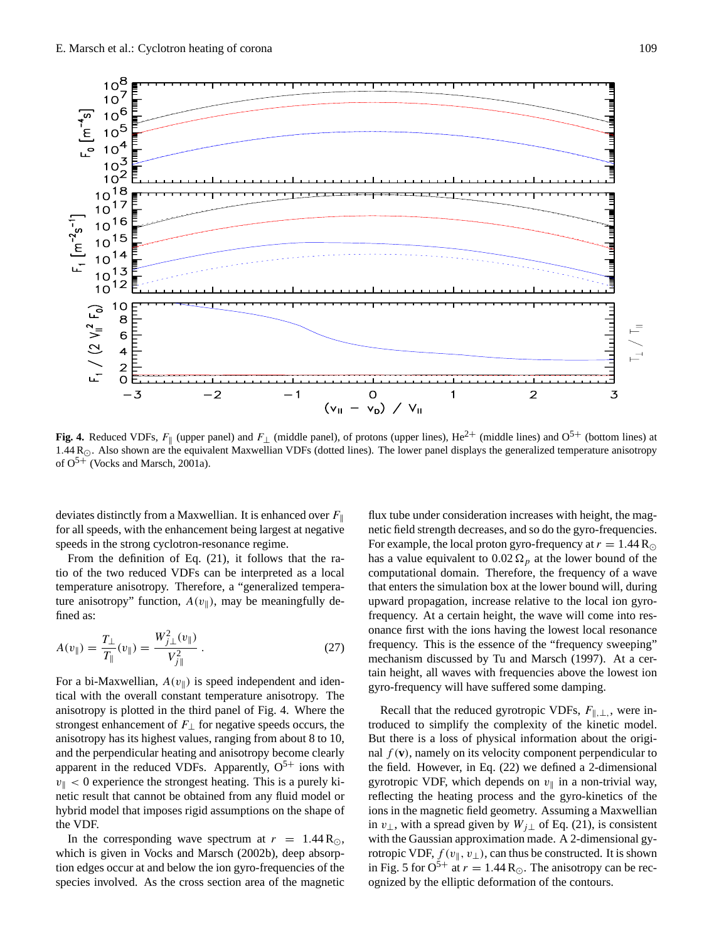

**Fig. 4.** Reduced VDFs,  $F_{\parallel}$  (upper panel) and  $F_{\perp}$  (middle panel), of protons (upper lines), He<sup>2+</sup> (middle lines) and O<sup>5+</sup> (bottom lines) at  $1.44 R_{\odot}$ . Also shown are the equivalent Maxwellian VDFs (dotted lines). The lower panel displays the generalized temperature anisotropy of  $O^{5+}$  (Vocks and Marsch, 2001a).

deviates distinctly from a Maxwellian. It is enhanced over  $F_{\parallel}$ for all speeds, with the enhancement being largest at negative speeds in the strong cyclotron-resonance regime.

From the definition of Eq. (21), it follows that the ratio of the two reduced VDFs can be interpreted as a local temperature anisotropy. Therefore, a "generalized temperature anisotropy" function,  $A(v_{\parallel})$ , may be meaningfully defined as:

$$
A(v_{\parallel}) = \frac{T_{\perp}}{T_{\parallel}}(v_{\parallel}) = \frac{W_{j\perp}^2(v_{\parallel})}{V_{j\parallel}^2} \,. \tag{27}
$$

For a bi-Maxwellian,  $A(v_{\parallel})$  is speed independent and identical with the overall constant temperature anisotropy. The anisotropy is plotted in the third panel of Fig. 4. Where the strongest enhancement of  $F_{\perp}$  for negative speeds occurs, the anisotropy has its highest values, ranging from about 8 to 10, and the perpendicular heating and anisotropy become clearly apparent in the reduced VDFs. Apparently,  $O<sup>5+</sup>$  ions with  $v_{\parallel}$  < 0 experience the strongest heating. This is a purely kinetic result that cannot be obtained from any fluid model or hybrid model that imposes rigid assumptions on the shape of the VDF.

In the corresponding wave spectrum at  $r = 1.44 R_{\odot}$ , which is given in Vocks and Marsch (2002b), deep absorption edges occur at and below the ion gyro-frequencies of the species involved. As the cross section area of the magnetic

flux tube under consideration increases with height, the magnetic field strength decreases, and so do the gyro-frequencies. For example, the local proton gyro-frequency at  $r = 1.44 \text{ R}_{\odot}$ has a value equivalent to 0.02  $\Omega_p$  at the lower bound of the computational domain. Therefore, the frequency of a wave that enters the simulation box at the lower bound will, during upward propagation, increase relative to the local ion gyrofrequency. At a certain height, the wave will come into resonance first with the ions having the lowest local resonance frequency. This is the essence of the "frequency sweeping" mechanism discussed by Tu and Marsch (1997). At a certain height, all waves with frequencies above the lowest ion gyro-frequency will have suffered some damping.

Recall that the reduced gyrotropic VDFs,  $F_{\parallel,\perp}$ , were introduced to simplify the complexity of the kinetic model. But there is a loss of physical information about the original  $f(\mathbf{v})$ , namely on its velocity component perpendicular to the field. However, in Eq. (22) we defined a 2-dimensional gyrotropic VDF, which depends on  $v_{\parallel}$  in a non-trivial way, reflecting the heating process and the gyro-kinetics of the ions in the magnetic field geometry. Assuming a Maxwellian in  $v_{\perp}$ , with a spread given by  $W_{j\perp}$  of Eq. (21), is consistent with the Gaussian approximation made. A 2-dimensional gyrotropic VDF,  $f(v_{\parallel}, v_{\perp})$ , can thus be constructed. It is shown in Fig. 5 for  $O^{5+}$  at  $r = 1.44 R_{\odot}$ . The anisotropy can be recognized by the elliptic deformation of the contours.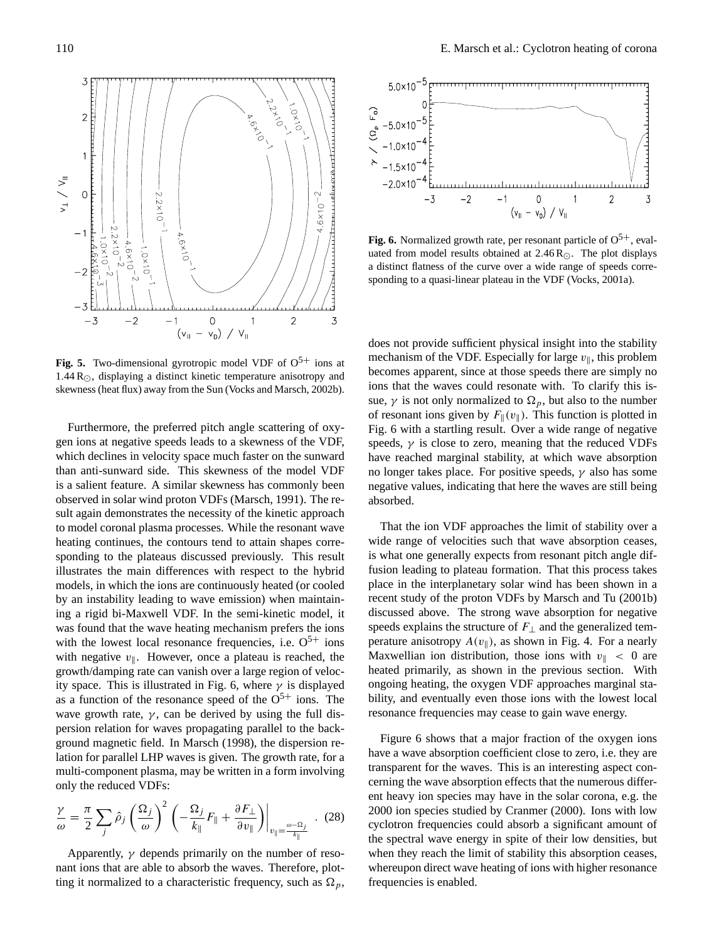

**Fig. 5.** Two-dimensional gyrotropic model VDF of  $O<sup>5+</sup>$  ions at 1.44  $R_{\odot}$ , displaying a distinct kinetic temperature anisotropy and skewness (heat flux) away from the Sun (Vocks and Marsch, 2002b).

Furthermore, the preferred pitch angle scattering of oxygen ions at negative speeds leads to a skewness of the VDF, which declines in velocity space much faster on the sunward than anti-sunward side. This skewness of the model VDF is a salient feature. A similar skewness has commonly been observed in solar wind proton VDFs (Marsch, 1991). The result again demonstrates the necessity of the kinetic approach to model coronal plasma processes. While the resonant wave heating continues, the contours tend to attain shapes corresponding to the plateaus discussed previously. This result illustrates the main differences with respect to the hybrid models, in which the ions are continuously heated (or cooled by an instability leading to wave emission) when maintaining a rigid bi-Maxwell VDF. In the semi-kinetic model, it was found that the wave heating mechanism prefers the ions with the lowest local resonance frequencies, i.e.  $O<sup>5+</sup>$  ions with negative  $v_{\parallel}$ . However, once a plateau is reached, the growth/damping rate can vanish over a large region of velocity space. This is illustrated in Fig. 6, where  $\gamma$  is displayed as a function of the resonance speed of the  $O<sup>5+</sup>$  ions. The wave growth rate,  $\gamma$ , can be derived by using the full dispersion relation for waves propagating parallel to the background magnetic field. In Marsch (1998), the dispersion relation for parallel LHP waves is given. The growth rate, for a multi-component plasma, may be written in a form involving only the reduced VDFs:

$$
\frac{\gamma}{\omega} = \frac{\pi}{2} \sum_{j} \hat{\rho}_{j} \left( \frac{\Omega_{j}}{\omega} \right)^{2} \left( -\frac{\Omega_{j}}{k_{\parallel}} F_{\parallel} + \frac{\partial F_{\perp}}{\partial v_{\parallel}} \right) \Big|_{v_{\parallel} = \frac{\omega - \Omega_{j}}{k_{\parallel}}} . (28)
$$

Apparently,  $\gamma$  depends primarily on the number of resonant ions that are able to absorb the waves. Therefore, plotting it normalized to a characteristic frequency, such as  $\Omega_p$ ,



**Fig. 6.** Normalized growth rate, per resonant particle of  $O^{5+}$ , evaluated from model results obtained at  $2.46 \text{ R}$ . The plot displays a distinct flatness of the curve over a wide range of speeds corresponding to a quasi-linear plateau in the VDF (Vocks, 2001a).

does not provide sufficient physical insight into the stability mechanism of the VDF. Especially for large  $v_{\parallel}$ , this problem becomes apparent, since at those speeds there are simply no ions that the waves could resonate with. To clarify this issue,  $\gamma$  is not only normalized to  $\Omega_p$ , but also to the number of resonant ions given by  $F_{\parallel}(v_{\parallel})$ . This function is plotted in Fig. 6 with a startling result. Over a wide range of negative speeds,  $\gamma$  is close to zero, meaning that the reduced VDFs have reached marginal stability, at which wave absorption no longer takes place. For positive speeds,  $\gamma$  also has some negative values, indicating that here the waves are still being absorbed.

That the ion VDF approaches the limit of stability over a wide range of velocities such that wave absorption ceases, is what one generally expects from resonant pitch angle diffusion leading to plateau formation. That this process takes place in the interplanetary solar wind has been shown in a recent study of the proton VDFs by Marsch and Tu (2001b) discussed above. The strong wave absorption for negative speeds explains the structure of  $F_{\perp}$  and the generalized temperature anisotropy  $A(v_{\parallel})$ , as shown in Fig. 4. For a nearly Maxwellian ion distribution, those ions with  $v_{\parallel} < 0$  are heated primarily, as shown in the previous section. With ongoing heating, the oxygen VDF approaches marginal stability, and eventually even those ions with the lowest local resonance frequencies may cease to gain wave energy.

Figure 6 shows that a major fraction of the oxygen ions have a wave absorption coefficient close to zero, i.e. they are transparent for the waves. This is an interesting aspect concerning the wave absorption effects that the numerous different heavy ion species may have in the solar corona, e.g. the 2000 ion species studied by Cranmer (2000). Ions with low cyclotron frequencies could absorb a significant amount of the spectral wave energy in spite of their low densities, but when they reach the limit of stability this absorption ceases, whereupon direct wave heating of ions with higher resonance frequencies is enabled.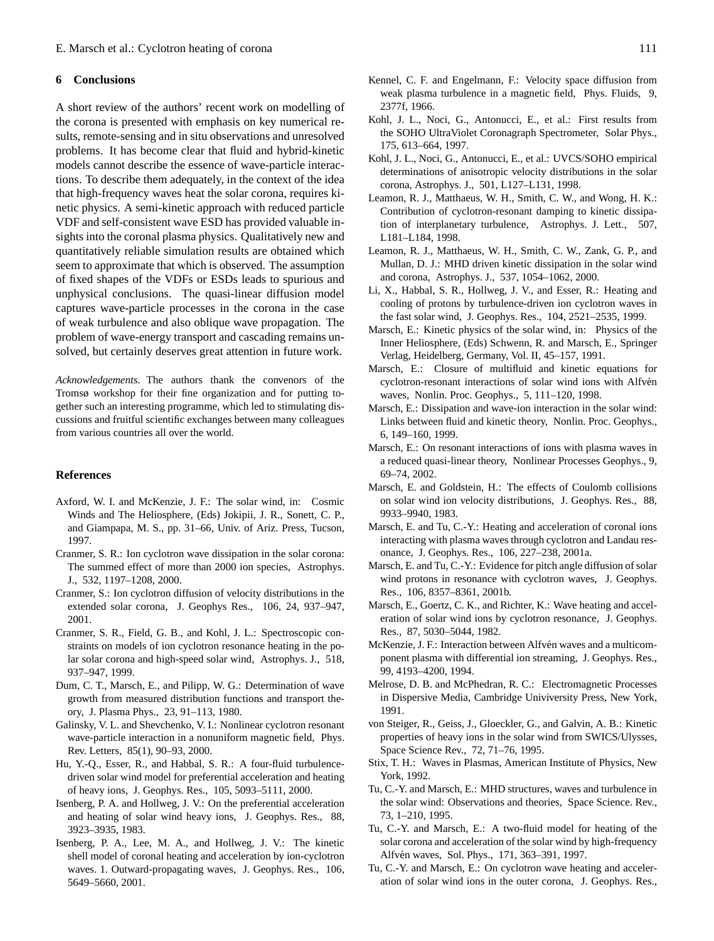# **6 Conclusions**

A short review of the authors' recent work on modelling of the corona is presented with emphasis on key numerical results, remote-sensing and in situ observations and unresolved problems. It has become clear that fluid and hybrid-kinetic models cannot describe the essence of wave-particle interactions. To describe them adequately, in the context of the idea that high-frequency waves heat the solar corona, requires kinetic physics. A semi-kinetic approach with reduced particle VDF and self-consistent wave ESD has provided valuable insights into the coronal plasma physics. Qualitatively new and quantitatively reliable simulation results are obtained which seem to approximate that which is observed. The assumption of fixed shapes of the VDFs or ESDs leads to spurious and unphysical conclusions. The quasi-linear diffusion model captures wave-particle processes in the corona in the case of weak turbulence and also oblique wave propagation. The problem of wave-energy transport and cascading remains unsolved, but certainly deserves great attention in future work.

*Acknowledgements.* The authors thank the convenors of the Tromsø workshop for their fine organization and for putting together such an interesting programme, which led to stimulating discussions and fruitful scientific exchanges between many colleagues from various countries all over the world.

## **References**

- Axford, W. I. and McKenzie, J. F.: The solar wind, in: Cosmic Winds and The Heliosphere, (Eds) Jokipii, J. R., Sonett, C. P., and Giampapa, M. S., pp. 31–66, Univ. of Ariz. Press, Tucson, 1997.
- Cranmer, S. R.: Ion cyclotron wave dissipation in the solar corona: The summed effect of more than 2000 ion species, Astrophys. J., 532, 1197–1208, 2000.
- Cranmer, S.: Ion cyclotron diffusion of velocity distributions in the extended solar corona, J. Geophys Res., 106, 24, 937–947, 2001.
- Cranmer, S. R., Field, G. B., and Kohl, J. L.: Spectroscopic constraints on models of ion cyclotron resonance heating in the polar solar corona and high-speed solar wind, Astrophys. J., 518, 937–947, 1999.
- Dum, C. T., Marsch, E., and Pilipp, W. G.: Determination of wave growth from measured distribution functions and transport theory, J. Plasma Phys., 23, 91–113, 1980.
- Galinsky, V. L. and Shevchenko, V. I.: Nonlinear cyclotron resonant wave-particle interaction in a nonuniform magnetic field, Phys. Rev. Letters, 85(1), 90–93, 2000.
- Hu, Y.-Q., Esser, R., and Habbal, S. R.: A four-fluid turbulencedriven solar wind model for preferential acceleration and heating of heavy ions, J. Geophys. Res., 105, 5093–5111, 2000.
- Isenberg, P. A. and Hollweg, J. V.: On the preferential acceleration and heating of solar wind heavy ions, J. Geophys. Res., 88, 3923–3935, 1983.
- Isenberg, P. A., Lee, M. A., and Hollweg, J. V.: The kinetic shell model of coronal heating and acceleration by ion-cyclotron waves. 1. Outward-propagating waves, J. Geophys. Res., 106, 5649–5660, 2001.
- Kennel, C. F. and Engelmann, F.: Velocity space diffusion from weak plasma turbulence in a magnetic field, Phys. Fluids, 9, 2377f, 1966.
- Kohl, J. L., Noci, G., Antonucci, E., et al.: First results from the SOHO UltraViolet Coronagraph Spectrometer, Solar Phys., 175, 613–664, 1997.
- Kohl, J. L., Noci, G., Antonucci, E., et al.: UVCS/SOHO empirical determinations of anisotropic velocity distributions in the solar corona, Astrophys. J., 501, L127–L131, 1998.
- Leamon, R. J., Matthaeus, W. H., Smith, C. W., and Wong, H. K.: Contribution of cyclotron-resonant damping to kinetic dissipation of interplanetary turbulence, Astrophys. J. Lett., 507, L181–L184, 1998.
- Leamon, R. J., Matthaeus, W. H., Smith, C. W., Zank, G. P., and Mullan, D. J.: MHD driven kinetic dissipation in the solar wind and corona, Astrophys. J., 537, 1054–1062, 2000.
- Li, X., Habbal, S. R., Hollweg, J. V., and Esser, R.: Heating and cooling of protons by turbulence-driven ion cyclotron waves in the fast solar wind, J. Geophys. Res., 104, 2521–2535, 1999.
- Marsch, E.: Kinetic physics of the solar wind, in: Physics of the Inner Heliosphere, (Eds) Schwenn, R. and Marsch, E., Springer Verlag, Heidelberg, Germany, Vol. II, 45–157, 1991.
- Marsch, E.: Closure of multifluid and kinetic equations for cyclotron-resonant interactions of solar wind ions with Alfvén waves, Nonlin. Proc. Geophys., 5, 111–120, 1998.
- Marsch, E.: Dissipation and wave-ion interaction in the solar wind: Links between fluid and kinetic theory, Nonlin. Proc. Geophys., 6, 149–160, 1999.
- Marsch, E.: On resonant interactions of ions with plasma waves in a reduced quasi-linear theory, Nonlinear Processes Geophys., 9, 69–74, 2002.
- Marsch, E. and Goldstein, H.: The effects of Coulomb collisions on solar wind ion velocity distributions, J. Geophys. Res., 88, 9933–9940, 1983.
- Marsch, E. and Tu, C.-Y.: Heating and acceleration of coronal ions interacting with plasma waves through cyclotron and Landau resonance, J. Geophys. Res., 106, 227–238, 2001a.
- Marsch, E. and Tu, C.-Y.: Evidence for pitch angle diffusion of solar wind protons in resonance with cyclotron waves, J. Geophys. Res., 106, 8357–8361, 2001b.
- Marsch, E., Goertz, C. K., and Richter, K.: Wave heating and acceleration of solar wind ions by cyclotron resonance, J. Geophys. Res., 87, 5030–5044, 1982.
- McKenzie, J. F.: Interaction between Alfvén waves and a multicomponent plasma with differential ion streaming, J. Geophys. Res., 99, 4193–4200, 1994.
- Melrose, D. B. and McPhedran, R. C.: Electromagnetic Processes in Dispersive Media, Cambridge Univiversity Press, New York, 1991.
- von Steiger, R., Geiss, J., Gloeckler, G., and Galvin, A. B.: Kinetic properties of heavy ions in the solar wind from SWICS/Ulysses, Space Science Rev., 72, 71–76, 1995.
- Stix, T. H.: Waves in Plasmas, American Institute of Physics, New York, 1992.
- Tu, C.-Y. and Marsch, E.: MHD structures, waves and turbulence in the solar wind: Observations and theories, Space Science. Rev., 73, 1–210, 1995.
- Tu, C.-Y. and Marsch, E.: A two-fluid model for heating of the solar corona and acceleration of the solar wind by high-frequency Alfvén waves, Sol. Phys., 171, 363-391, 1997.
- Tu, C.-Y. and Marsch, E.: On cyclotron wave heating and acceleration of solar wind ions in the outer corona, J. Geophys. Res.,